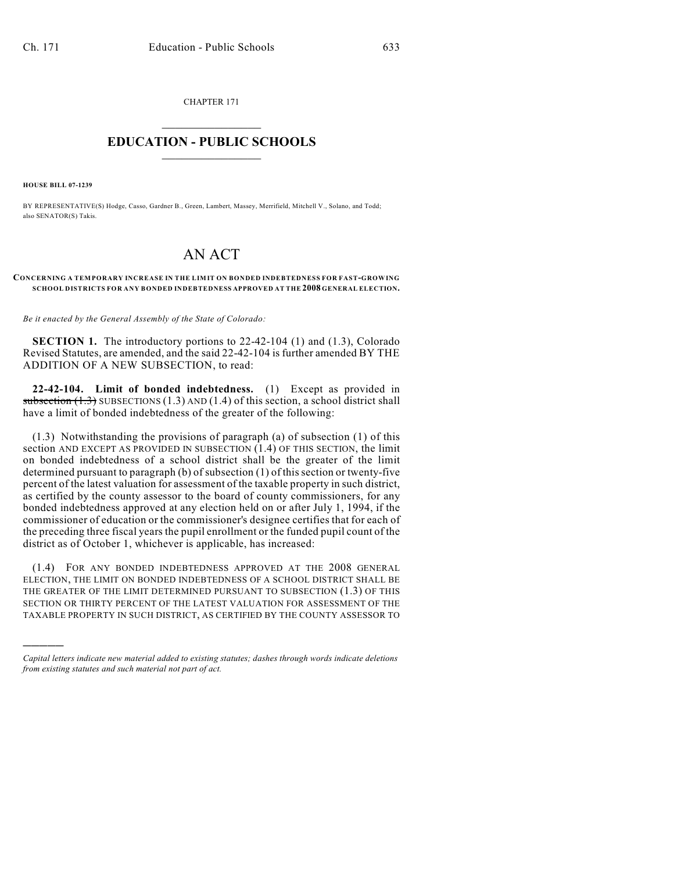CHAPTER 171  $\overline{\phantom{a}}$  . The set of the set of the set of the set of the set of the set of the set of the set of the set of the set of the set of the set of the set of the set of the set of the set of the set of the set of the set o

## **EDUCATION - PUBLIC SCHOOLS**  $\_$   $\_$   $\_$   $\_$   $\_$   $\_$   $\_$   $\_$   $\_$

**HOUSE BILL 07-1239**

)))))

BY REPRESENTATIVE(S) Hodge, Casso, Gardner B., Green, Lambert, Massey, Merrifield, Mitchell V., Solano, and Todd; also SENATOR(S) Takis.

## AN ACT

## **CONCERNING A TEM PORARY INCREASE IN THE LIMIT ON BONDED INDEBTEDNESS FOR FAST-GROWING SCHOOL DISTRICTS FOR ANY BONDED INDEBTEDNESS APPROVED AT THE 2008 GENERAL ELECTION.**

*Be it enacted by the General Assembly of the State of Colorado:*

**SECTION 1.** The introductory portions to 22-42-104 (1) and (1.3), Colorado Revised Statutes, are amended, and the said 22-42-104 is further amended BY THE ADDITION OF A NEW SUBSECTION, to read:

**22-42-104. Limit of bonded indebtedness.** (1) Except as provided in subsection  $(1.3)$  SUBSECTIONS  $(1.3)$  AND  $(1.4)$  of this section, a school district shall have a limit of bonded indebtedness of the greater of the following:

(1.3) Notwithstanding the provisions of paragraph (a) of subsection (1) of this section AND EXCEPT AS PROVIDED IN SUBSECTION (1.4) OF THIS SECTION, the limit on bonded indebtedness of a school district shall be the greater of the limit determined pursuant to paragraph (b) of subsection (1) of this section or twenty-five percent of the latest valuation for assessment of the taxable property in such district, as certified by the county assessor to the board of county commissioners, for any bonded indebtedness approved at any election held on or after July 1, 1994, if the commissioner of education or the commissioner's designee certifies that for each of the preceding three fiscal years the pupil enrollment or the funded pupil count of the district as of October 1, whichever is applicable, has increased:

(1.4) FOR ANY BONDED INDEBTEDNESS APPROVED AT THE 2008 GENERAL ELECTION, THE LIMIT ON BONDED INDEBTEDNESS OF A SCHOOL DISTRICT SHALL BE THE GREATER OF THE LIMIT DETERMINED PURSUANT TO SUBSECTION (1.3) OF THIS SECTION OR THIRTY PERCENT OF THE LATEST VALUATION FOR ASSESSMENT OF THE TAXABLE PROPERTY IN SUCH DISTRICT, AS CERTIFIED BY THE COUNTY ASSESSOR TO

*Capital letters indicate new material added to existing statutes; dashes through words indicate deletions from existing statutes and such material not part of act.*